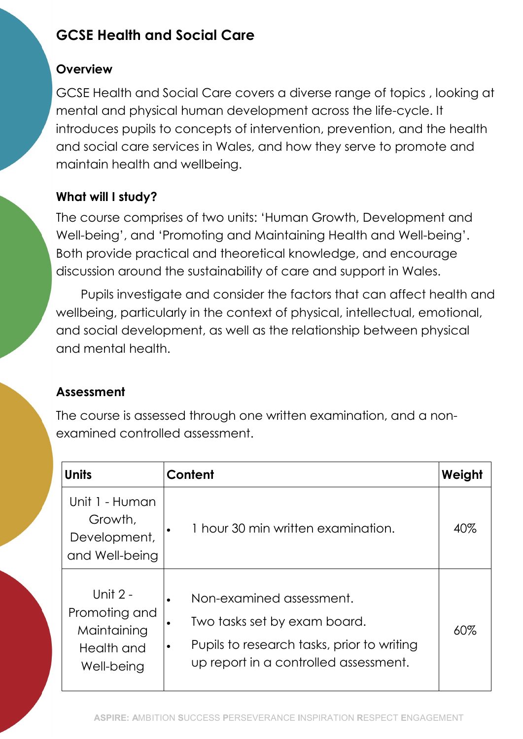# GCSE Health and Social Care

#### **Overview**

GCSE Health and Social Care covers a diverse range of topics , looking at mental and physical human development across the life-cycle. It introduces pupils to concepts of intervention, prevention, and the health and social care services in Wales, and how they serve to promote and maintain health and wellbeing.

## What will I study?

The course comprises of two units: 'Human Growth, Development and Well-being', and 'Promoting and Maintaining Health and Well-being'. Both provide practical and theoretical knowledge, and encourage discussion around the sustainability of care and support in Wales.

Pupils investigate and consider the factors that can affect health and wellbeing, particularly in the context of physical, intellectual, emotional, and social development, as well as the relationship between physical and mental health.

## Assessment

The course is assessed through one written examination, and a nonexamined controlled assessment.

| <b>Units</b>                                                         | Content                                                                                                                                                                        | Weight |
|----------------------------------------------------------------------|--------------------------------------------------------------------------------------------------------------------------------------------------------------------------------|--------|
| Unit 1 - Human<br>Growth,<br>Development,<br>and Well-being          | 1 hour 30 min written examination.                                                                                                                                             | 40%    |
| Unit 2 -<br>Promoting and<br>Maintaining<br>Health and<br>Well-being | Non-examined assessment.<br>$\bullet$<br>Two tasks set by exam board.<br>٠<br>Pupils to research tasks, prior to writing<br>$\bullet$<br>up report in a controlled assessment. | 60%    |